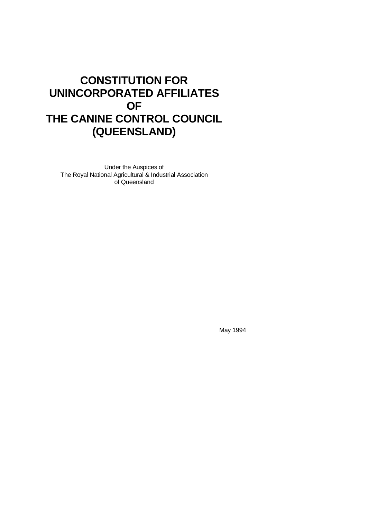# **CONSTITUTION FOR UNINCORPORATED AFFILIATES OF THE CANINE CONTROL COUNCIL (QUEENSLAND)**

Under the Auspices of The Royal National Agricultural & Industrial Association of Queensland

May 1994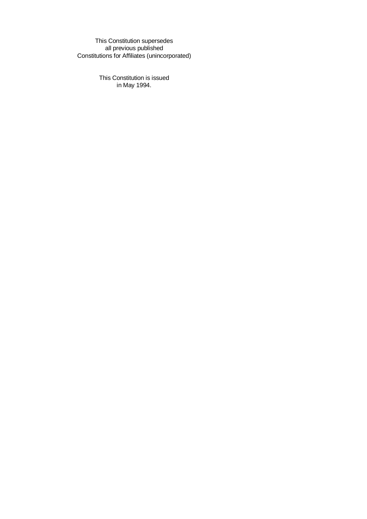This Constitution supersedes all previous published Constitutions for Affiliates (unincorporated)

> This Constitution is issued in May 1994.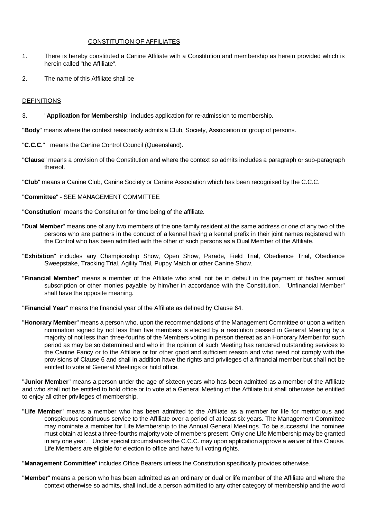## CONSTITUTION OF AFFILIATES

- 1. There is hereby constituted a Canine Affiliate with a Constitution and membership as herein provided which is herein called "the Affiliate".
- 2. The name of this Affiliate shall be

# DEFINITIONS

3. "**Application for Membership**" includes application for re-admission to membership.

"**Body**" means where the context reasonably admits a Club, Society, Association or group of persons.

- "**C.C.C.**" means the Canine Control Council (Queensland).
- "**Clause**" means a provision of the Constitution and where the context so admits includes a paragraph or sub-paragraph thereof.
- "**Club**" means a Canine Club, Canine Society or Canine Association which has been recognised by the C.C.C.

## "**Committee**" - SEE MANAGEMENT COMMITTEE

"**Constitution**" means the Constitution for time being of the affiliate.

- "**Dual Member**" means one of any two members of the one family resident at the same address or one of any two of the persons who are partners in the conduct of a kennel having a kennel prefix in their joint names registered with the Control who has been admitted with the other of such persons as a Dual Member of the Affiliate.
- "**Exhibition**" includes any Championship Show, Open Show, Parade, Field Trial, Obedience Trial, Obedience Sweepstake, Tracking Trial, Agility Trial, Puppy Match or other Canine Show.
- "**Financial Member**" means a member of the Affiliate who shall not be in default in the payment of his/her annual subscription or other monies payable by him/her in accordance with the Constitution. "Unfinancial Member" shall have the opposite meaning.

"**Financial Year**" means the financial year of the Affiliate as defined by Clause 64.

"**Honorary Member**" means a person who, upon the recommendations of the Management Committee or upon a written nomination signed by not less than five members is elected by a resolution passed in General Meeting by a majority of not less than three-fourths of the Members voting in person thereat as an Honorary Member for such period as may be so determined and who in the opinion of such Meeting has rendered outstanding services to the Canine Fancy or to the Affiliate or for other good and sufficient reason and who need not comply with the provisions of Clause 6 and shall in addition have the rights and privileges of a financial member but shall not be entitled to vote at General Meetings or hold office.

"**Junior Member**" means a person under the age of sixteen years who has been admitted as a member of the Affiliate and who shall not be entitled to hold office or to vote at a General Meeting of the Affiliate but shall otherwise be entitled to enjoy all other privileges of membership.

"**Life Member**" means a member who has been admitted to the Affiliate as a member for life for meritorious and conspicuous continuous service to the Affiliate over a period of at least six years. The Management Committee may nominate a member for Life Membership to the Annual General Meetings. To be successful the nominee must obtain at least a three-fourths majority vote of members present, Only one Life Membership may be granted in any one year. Under special circumstances the C.C.C. may upon application approve a waiver of this Clause. Life Members are eligible for election to office and have full voting rights.

"**Management Committee**" includes Office Bearers unless the Constitution specifically provides otherwise.

"**Member**" means a person who has been admitted as an ordinary or dual or life member of the Affiliate and where the context otherwise so admits, shall include a person admitted to any other category of membership and the word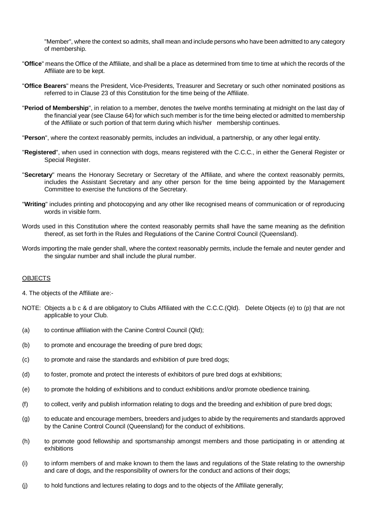"Member", where the context so admits, shall mean and include persons who have been admitted to any category of membership.

- "**Office**" means the Office of the Affiliate, and shall be a place as determined from time to time at which the records of the Affiliate are to be kept.
- "**Office Bearers**" means the President, Vice-Presidents, Treasurer and Secretary or such other nominated positions as referred to in Clause 23 of this Constitution for the time being of the Affiliate.
- "**Period of Membership**", in relation to a member, denotes the twelve months terminating at midnight on the last day of the financial year (see Clause 64) for which such member is for the time being elected or admitted to membership of the Affiliate or such portion of that term during which his/her membership continues.
- "**Person**", where the context reasonably permits, includes an individual, a partnership, or any other legal entity.
- "**Registered**", when used in connection with dogs, means registered with the C.C.C., in either the General Register or Special Register.
- "**Secretary**" means the Honorary Secretary or Secretary of the Affiliate, and where the context reasonably permits, includes the Assistant Secretary and any other person for the time being appointed by the Management Committee to exercise the functions of the Secretary.
- "**Writing**" includes printing and photocopying and any other like recognised means of communication or of reproducing words in visible form.
- Words used in this Constitution where the context reasonably permits shall have the same meaning as the definition thereof, as set forth in the Rules and Regulations of the Canine Control Council (Queensland).
- Words importing the male gender shall, where the context reasonably permits, include the female and neuter gender and the singular number and shall include the plural number.

#### **OBJECTS**

- 4. The objects of the Affiliate are:-
- NOTE: Objects a b c & d are obligatory to Clubs Affiliated with the C.C.C.(Qld). Delete Objects (e) to (p) that are not applicable to your Club.
- (a) to continue affiliation with the Canine Control Council (Qld);
- (b) to promote and encourage the breeding of pure bred dogs;
- (c) to promote and raise the standards and exhibition of pure bred dogs;
- (d) to foster, promote and protect the interests of exhibitors of pure bred dogs at exhibitions;
- (e) to promote the holding of exhibitions and to conduct exhibitions and/or promote obedience training.
- (f) to collect, verify and publish information relating to dogs and the breeding and exhibition of pure bred dogs;
- (g) to educate and encourage members, breeders and judges to abide by the requirements and standards approved by the Canine Control Council (Queensland) for the conduct of exhibitions.
- (h) to promote good fellowship and sportsmanship amongst members and those participating in or attending at exhibitions
- (i) to inform members of and make known to them the laws and regulations of the State relating to the ownership and care of dogs, and the responsibility of owners for the conduct and actions of their dogs;
- (j) to hold functions and lectures relating to dogs and to the objects of the Affiliate generally;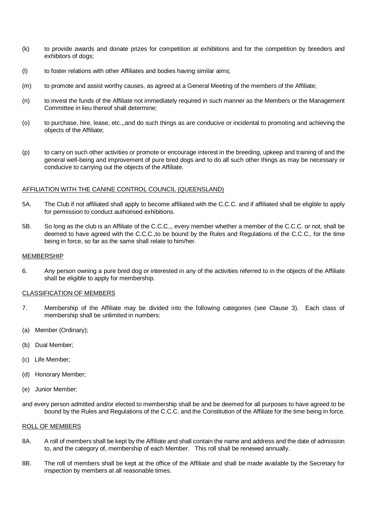- (k) to provide awards and donate prizes for competition at exhibitions and for the competition by breeders and exhibitors of dogs;
- (l) to foster relations with other Affiliates and bodies having similar aims;
- (m) to promote and assist worthy causes, as agreed at a General Meeting of the members of the Affiliate;
- (n) to invest the funds of the Affiliate not immediately required in such manner as the Members or the Management Committee in lieu thereof shall determine;
- (o) to purchase, hire, lease, etc.,,and do such things as are conducive or incidental to promoting and achieving the objects of the Affiliate;
- (p) to carry on such other activities or promote or encourage interest in the breeding, upkeep and training of and the general well-being and improvement of pure bred dogs and to do all such other things as may be necessary or conducive to carrying out the objects of the Affiliate.

## AFFILIATION WITH THE CANINE CONTROL COUNCIL (QUEENSLAND)

- 5A. The Club if not affiliated shall apply to become affiliated with the C.C.C. and if affiliated shall be eligible to apply for permission to conduct authorised exhibitions.
- 5B. So long as the club is an Affiliate of the C.C.C.,, every member whether a member of the C.C.C. or not, shall be deemed to have agreed with the C.C.C.,to be bound by the Rules and Regulations of the C.C.C., for the time being in force, so far as the same shall relate to him/her.

#### MEMBERSHIP

6. Any person owning a pure bred dog or interested in any of the activities referred to in the objects of the Affiliate shall be eligible to apply for membership.

## CLASSIFICATION OF MEMBERS

- 7. Membership of the Affiliate may be divided into the following categories (see Clause 3). Each class of membership shall be unlimited in numbers:
- (a) Member (Ordinary);
- (b) Dual Member;
- (c) Life Member;
- (d) Honorary Member;
- (e) Junior Member;
- and every person admitted and/or elected to membership shall be and be deemed for all purposes to have agreed to be bound by the Rules and Regulations of the C.C.C. and the Constitution of the Affiliate for the time being in force.

## ROLL OF MEMBERS

- 8A. A roll of members shall be kept by the Affiliate and shall contain the name and address and the date of admission to, and the category of, membership of each Member. This roll shall be renewed annually.
- 8B. The roll of members shall be kept at the office of the Affiliate and shall be made available by the Secretary for inspection by members at all reasonable times.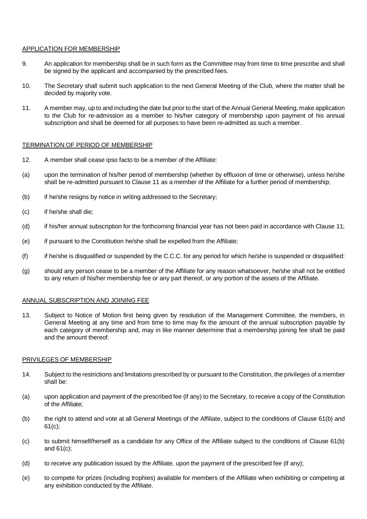## APPLICATION FOR MEMBERSHIP

- 9. An application for membership shall be in such form as the Committee may from time to time prescribe and shall be signed by the applicant and accompanied by the prescribed fees.
- 10. The Secretary shall submit such application to the next General Meeting of the Club, where the matter shall be decided by majority vote.
- 11. A member may, up to and including the date but prior to the start of the Annual General Meeting, make application to the Club for re-admission as a member to his/her category of membership upon payment of his annual subscription and shall be deemed for all purposes to have been re-admitted as such a member.

# TERMINATION OF PERIOD OF MEMBERSHIP

- 12. A member shall cease ipso facto to be a member of the Affiliate:
- (a) upon the termination of his/her period of membership (whether by effluxion of time or otherwise), unless he/she shall be re-admitted pursuant to Clause 11 as a member of the Affiliate for a further period of membership;
- (b) if he/she resigns by notice in writing addressed to the Secretary;
- (c) if he/she shall die;
- (d) if his/her annual subscription for the forthcoming financial year has not been paid in accordance with Clause 11;
- (e) if pursuant to the Constitution he/she shall be expelled from the Affiliate;
- (f) if he/she is disqualified or suspended by the C.C.C. for any period for which he/she is suspended or disqualified:
- (g) should any person cease to be a member of the Affiliate for any reason whatsoever, he/she shall not be entitled to any return of his/her membership fee or any part thereof, or any portion of the assets of the Affiliate.

# ANNUAL SUBSCRIPTION AND JOINING FEE

13. Subject to Notice of Motion first being given by resolution of the Management Committee, the members, in General Meeting at any time and from time to time may fix the amount of the annual subscription payable by each category of membership and, may in like manner determine that a membership joining fee shall be paid and the amount thereof.

#### PRIVILEGES OF MEMBERSHIP

- 14. Subject to the restrictions and limitations prescribed by or pursuant to the Constitution, the privileges of a member shall be:
- (a) upon application and payment of the prescribed fee (if any) to the Secretary, to receive a copy of the Constitution of the Affiliate;
- (b) the right to attend and vote at all General Meetings of the Affiliate, subject to the conditions of Clause 61(b) and 61(c);
- (c) to submit himself/herself as a candidate for any Office of the Affiliate subject to the conditions of Clause 61(b) and 61(c);
- (d) to receive any publication issued by the Affiliate, upon the payment of the prescribed fee (if any);
- (e) to compete for prizes (including trophies) available for members of the Affiliate when exhibiting or competing at any exhibition conducted by the Affiliate.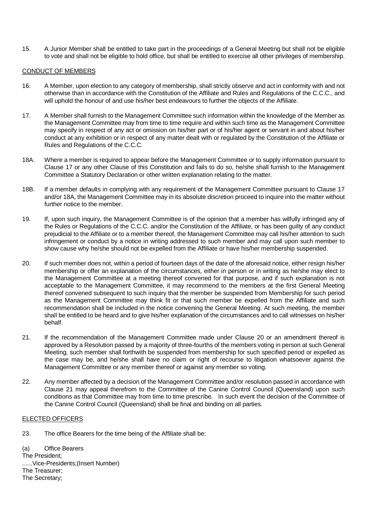15. A Junior Member shall be entitled to take part in the proceedings of a General Meeting but shall not be eligible to vote and shall not be eligible to hold office, but shall be entitled to exercise all other privileges of membership.

# CONDUCT OF MEMBERS

- 16. A Member, upon election to any category of membership, shall strictly observe and act in conformity with and not otherwise than in accordance with the Constitution of the Affiliate and Rules and Regulations of the C.C.C., and will uphold the honour of and use his/her best endeavours to further the objects of the Affiliate.
- 17. A Member shall furnish to the Management Committee such information within the knowledge of the Member as the Management Committee may from time to time require and within such time as the Management Committee may specify in respect of any act or omission on his/her part or of his/her agent or servant in and about his/her conduct at any exhibition or in respect of any matter dealt with or regulated by the Constitution of the Affiliate or Rules and Regulations of the C.C.C.
- 18A. Where a member is required to appear before the Management Committee or to supply information pursuant to Clause 17 or any other Clause of this Constitution and fails to do so, he/she shall furnish to the Management Committee a Statutory Declaration or other written explanation relating to the matter.
- 18B. If a member defaults in complying with any requirement of the Management Committee pursuant to Clause 17 and/or 18A, the Management Committee may in its absolute discretion proceed to inquire into the matter without further notice to the member.
- 19. If, upon such inquiry, the Management Committee is of the opinion that a member has wilfully infringed any of the Rules or Regulations of the C.C.C. and/or the Constitution of the Affiliate, or has been guilty of any conduct prejudicial to the Affiliate or to a member thereof, the Management Committee may call his/her attention to such infringement or conduct by a notice in writing addressed to such member and may call upon such member to show cause why he/she should not be expelled from the Affiliate or have his/her membership suspended.
- 20. If such member does not, within a period of fourteen days of the date of the aforesaid notice, either resign his/her membership or offer an explanation of the circumstances, either in person or in writing as he/she may elect to the Management Committee at a meeting thereof convened for that purpose, and if such explanation is not acceptable to the Management Committee, it may recommend to the members at the first General Meeting thereof convened subsequent to such inquiry that the member be suspended from Membership for such period as the Management Committee may think fit or that such member be expelled from the Affiliate and such recommendation shall be included in the notice convening the General Meeting. At such meeting, the member shall be entitled to be heard and to give his/her explanation of the circumstances and to call witnesses on his/her behalf.
- 21. If the recommendation of the Management Committee made under Clause 20 or an amendment thereof is approved by a Resolution passed by a majority of three-fourths of the members voting in person at such General Meeting, such member shall forthwith be suspended from membership for such specified period or expelled as the case may be, and he/she shall have no claim or right of recourse to litigation whatsoever against the Management Committee or any member thereof or against any member so voting.
- 22. Any member affected by a decision of the Management Committee and/or resolution passed in accordance with Clause 21 may appeal therefrom to the Committee of the Canine Control Council (Queensland) upon such conditions as that Committee may from time to time prescribe. In such event the decision of the Committee of the Canine Control Council (Queensland) shall be final and binding on all parties.

# ELECTED OFFICERS

23. The office Bearers for the time being of the Affiliate shall be:

(a) Office Bearers The President; ......Vice-Presidents;(Insert Number) The Treasurer; The Secretary;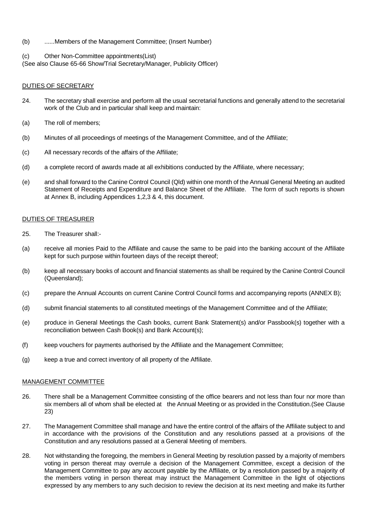- (b) ......Members of the Management Committee; (Insert Number)
- (c) Other Non-Committee appointments(List)

(See also Clause 65-66 Show/Trial Secretary/Manager, Publicity Officer)

## DUTIES OF SECRETARY

- 24. The secretary shall exercise and perform all the usual secretarial functions and generally attend to the secretarial work of the Club and in particular shall keep and maintain:
- (a) The roll of members;
- (b) Minutes of all proceedings of meetings of the Management Committee, and of the Affiliate;
- (c) All necessary records of the affairs of the Affiliate;
- (d) a complete record of awards made at all exhibitions conducted by the Affiliate, where necessary;
- (e) and shall forward to the Canine Control Council (Qld) within one month of the Annual General Meeting an audited Statement of Receipts and Expenditure and Balance Sheet of the Affiliate. The form of such reports is shown at Annex B, including Appendices 1,2,3 & 4, this document.

## DUTIES OF TREASURER

- 25. The Treasurer shall:-
- (a) receive all monies Paid to the Affiliate and cause the same to be paid into the banking account of the Affiliate kept for such purpose within fourteen days of the receipt thereof;
- (b) keep all necessary books of account and financial statements as shall be required by the Canine Control Council (Queensland);
- (c) prepare the Annual Accounts on current Canine Control Council forms and accompanying reports (ANNEX B);
- (d) submit financial statements to all constituted meetings of the Management Committee and of the Affiliate;
- (e) produce in General Meetings the Cash books, current Bank Statement(s) and/or Passbook(s) together with a reconciliation between Cash Book(s) and Bank Account(s);
- (f) keep vouchers for payments authorised by the Affiliate and the Management Committee;
- (g) keep a true and correct inventory of all property of the Affiliate.

#### MANAGEMENT COMMITTEE

- 26. There shall be a Management Committee consisting of the office bearers and not less than four nor more than six members all of whom shall be elected at the Annual Meeting or as provided in the Constitution.(See Clause 23)
- 27. The Management Committee shall manage and have the entire control of the affairs of the Affiliate subject to and in accordance with the provisions of the Constitution and any resolutions passed at a provisions of the Constitution and any resolutions passed at a General Meeting of members.
- 28. Not withstanding the foregoing, the members in General Meeting by resolution passed by a majority of members voting in person thereat may overrule a decision of the Management Committee, except a decision of the Management Committee to pay any account payable by the Affiliate, or by a resolution passed by a majority of the members voting in person thereat may instruct the Management Committee in the light of objections expressed by any members to any such decision to review the decision at its next meeting and make its further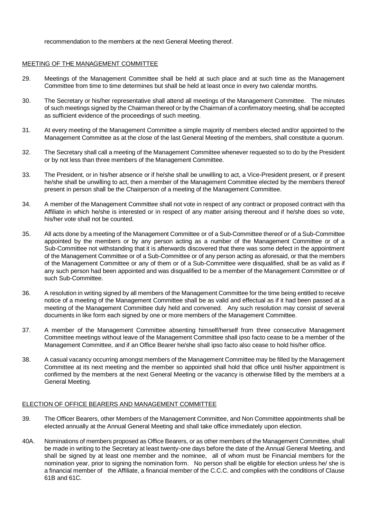recommendation to the members at the next General Meeting thereof.

# MEETING OF THE MANAGEMENT COMMITTEE

- 29. Meetings of the Management Committee shall be held at such place and at such time as the Management Committee from time to time determines but shall be held at least once in every two calendar months.
- 30. The Secretary or his/her representative shall attend all meetings of the Management Committee. The minutes of such meetings signed by the Chairman thereof or by the Chairman of a confirmatory meeting, shall be accepted as sufficient evidence of the proceedings of such meeting.
- 31. At every meeting of the Management Committee a simple majority of members elected and/or appointed to the Management Committee as at the close of the last General Meeting of the members, shall constitute a quorum.
- 32. The Secretary shall call a meeting of the Management Committee whenever requested so to do by the President or by not less than three members of the Management Committee.
- 33. The President, or in his/her absence or if he/she shall be unwilling to act, a Vice-President present, or if present he/she shall be unwilling to act, then a member of the Management Committee elected by the members thereof present in person shall be the Chairperson of a meeting of the Management Committee.
- 34. A member of the Management Committee shall not vote in respect of any contract or proposed contract with tha Affiliate in which he/she is interested or in respect of any matter arising thereout and if he/she does so vote, his/her vote shall not be counted.
- 35. All acts done by a meeting of the Management Committee or of a Sub-Committee thereof or of a Sub-Committee appointed by the members or by any person acting as a number of the Management Committee or of a Sub-Committee not withstanding that it is afterwards discovered that there was some defect in the appointment of the Management Committee or of a Sub-Committee or of any person acting as aforesaid, or that the members of the Management Committee or any of them or of a Sub-Committee were disqualified, shall be as valid as if any such person had been appointed and was disqualified to be a member of the Management Committee or of such Sub-Committee.
- 36. A resolution in writing signed by all members of the Management Committee for the time being entitled to receive notice of a meeting of the Management Committee shall be as valid and effectual as if it had been passed at a meeting of the Management Committee duly held and convened. Any such resolution may consist of several documents in like form each signed by one or more members of the Management Committee.
- 37. A member of the Management Committee absenting himself/herself from three consecutive Management Committee meetings without leave of the Management Committee shall ipso facto cease to be a member of the Management Committee, and if an Office Bearer he/she shall ipso facto also cease to hold his/her office.
- 38. A casual vacancy occurring amongst members of the Management Committee may be filled by the Management Committee at its next meeting and the member so appointed shall hold that office until his/her appointment is confirmed by the members at the next General Meeting or the vacancy is otherwise filled by the members at a General Meeting.

# ELECTION OF OFFICE BEARERS AND MANAGEMENT COMMITTEE

- 39. The Officer Bearers, other Members of the Management Committee, and Non Committee appointments shall be elected annually at the Annual General Meeting and shall take office immediately upon election.
- 40A. Nominations of members proposed as Office Bearers, or as other members of the Management Committee, shall be made in writing to the Secretary at least twenty-one days before the date of the Annual General Meeting, and shall be signed by at least one member and the nominee, all of whom must be Financial members for the nomination year, prior to signing the nomination form. No person shall be eligible for election unless he/ she is a financial member of the Affiliate, a financial member of the C.C.C. and complies with the conditions of Clause 61B and 61C.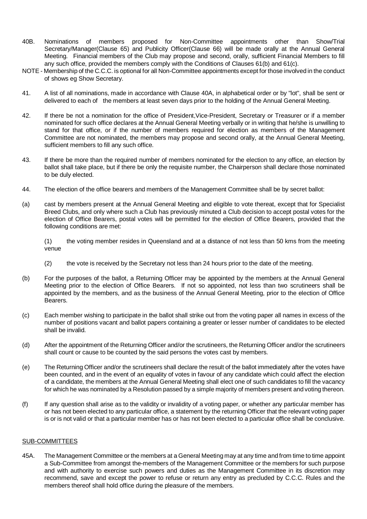- 40B. Nominations of members proposed for Non-Committee appointments other than Show/Trial Secretary/Manager(Clause 65) and Publicity Officer(Clause 66) will be made orally at the Annual General Meeting. Financial members of the Club may propose and second, orally, sufficient Financial Members to fill any such office, provided the members comply with the Conditions of Clauses 61(b) and 61(c).
- NOTE Membership of the C.C.C. is optional for all Non-Committee appointments except for those involved in the conduct of shows eg Show Secretary.
- 41. A list of all nominations, made in accordance with Clause 40A, in alphabetical order or by "lot", shall be sent or delivered to each of the members at least seven days prior to the holding of the Annual General Meeting.
- 42. If there be not a nomination for the office of President,Vice-President, Secretary or Treasurer or if a member nominated for such office declares at the Annual General Meeting verbally or in writing that he/she is unwilling to stand for that office, or if the number of members required for election as members of the Management Committee are not nominated, the members may propose and second orally, at the Annual General Meeting, sufficient members to fill any such office.
- 43. If there be more than the required number of members nominated for the election to any office, an election by ballot shall take place, but if there be only the requisite number, the Chairperson shall declare those nominated to be duly elected.
- 44. The election of the office bearers and members of the Management Committee shall be by secret ballot:
- (a) cast by members present at the Annual General Meeting and eligible to vote thereat, except that for Specialist Breed Clubs, and only where such a Club has previously minuted a Club decision to accept postal votes for the election of Office Bearers, postal votes will be permitted for the election of Office Bearers, provided that the following conditions are met:

(1) the voting member resides in Queensland and at a distance of not less than 50 kms from the meeting venue

- (2) the vote is received by the Secretary not less than 24 hours prior to the date of the meeting.
- (b) For the purposes of the ballot, a Returning Officer may be appointed by the members at the Annual General Meeting prior to the election of Office Bearers. If not so appointed, not less than two scrutineers shall be appointed by the members, and as the business of the Annual General Meeting, prior to the election of Office Bearers.
- (c) Each member wishing to participate in the ballot shall strike out from the voting paper all names in excess of the number of positions vacant and ballot papers containing a greater or lesser number of candidates to be elected shall be invalid.
- (d) After the appointment of the Returning Officer and/or the scrutineers, the Returning Officer and/or the scrutineers shall count or cause to be counted by the said persons the votes cast by members.
- (e) The Returning Officer and/or the scrutineers shall declare the result of the ballot immediately after the votes have been counted, and in the event of an equality of votes in favour of any candidate which could affect the election of a candidate, the members at the Annual General Meeting shall elect one of such candidates to fill the vacancy for which he was nominated by a Resolution passed by a simple majority of members present and voting thereon.
- (f) If any question shall arise as to the validity or invalidity of a voting paper, or whether any particular member has or has not been elected to any particular office, a statement by the returning Officer that the relevant voting paper is or is not valid or that a particular member has or has not been elected to a particular office shall be conclusive.

# SUB-COMMITTEES

45A. The Management Committee or the members at a General Meeting may at any time and from time to time appoint a Sub-Committee from amongst the-members of the Management Committee or the members for such purpose and with authority to exercise such powers and duties as the Management Committee in its discretion may recommend, save and except the power to refuse or return any entry as precluded by C.C.C. Rules and the members thereof shall hold office during the pleasure of the members.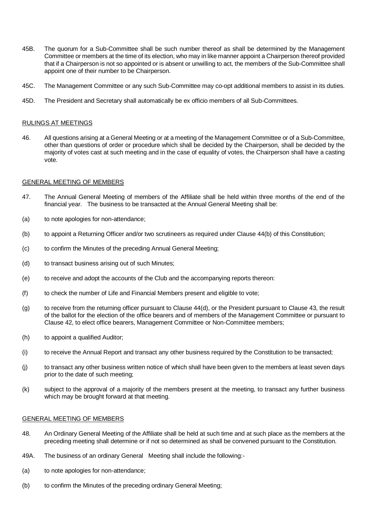- 45B. The quorum for a Sub-Committee shall be such number thereof as shall be determined by the Management Committee or members at the time of its election, who may in like manner appoint a Chairperson thereof provided that if a Chairperson is not so appointed or is absent or unwilling to act, the members of the Sub-Committee shall appoint one of their number to be Chairperson.
- 45C. The Management Committee or any such Sub-Committee may co-opt additional members to assist in its duties.
- 45D. The President and Secretary shall automatically be ex officio members of all Sub-Committees.

## RULINGS AT MEETINGS

46. All questions arising at a General Meeting or at a meeting of the Management Committee or of a Sub-Committee, other than questions of order or procedure which shall be decided by the Chairperson, shall be decided by the majority of votes cast at such meeting and in the case of equality of votes, the Chairperson shall have a casting vote.

## GENERAL MEETING OF MEMBERS

- 47. The Annual General Meeting of members of the Affiliate shall be held within three months of the end of the financial year. The business to be transacted at the Annual General Meeting shall be:
- (a) to note apologies for non-attendance;
- (b) to appoint a Returning Officer and/or two scrutineers as required under Clause 44(b) of this Constitution;
- (c) to confirm the Minutes of the preceding Annual General Meeting;
- (d) to transact business arising out of such Minutes;
- (e) to receive and adopt the accounts of the Club and the accompanying reports thereon:
- (f) to check the number of Life and Financial Members present and eligible to vote;
- $(q)$  to receive from the returning officer pursuant to Clause  $44(d)$ , or the President pursuant to Clause  $43$ , the result of the ballot for the election of the office bearers and of members of the Management Committee or pursuant to Clause 42, to elect office bearers, Management Committee or Non-Committee members;
- (h) to appoint a qualified Auditor;
- (i) to receive the Annual Report and transact any other business required by the Constitution to be transacted;
- (j) to transact any other business written notice of which shall have been given to the members at least seven days prior to the date of such meeting;
- (k) subject to the approval of a majority of the members present at the meeting, to transact any further business which may be brought forward at that meeting.

#### GENERAL MEETING OF MEMBERS

- 48. An Ordinary General Meeting of the Affiliate shall be held at such time and at such place as the members at the preceding meeting shall determine or if not so determined as shall be convened pursuant to the Constitution.
- 49A. The business of an ordinary General Meeting shall include the following:-
- (a) to note apologies for non-attendance;
- (b) to confirm the Minutes of the preceding ordinary General Meeting;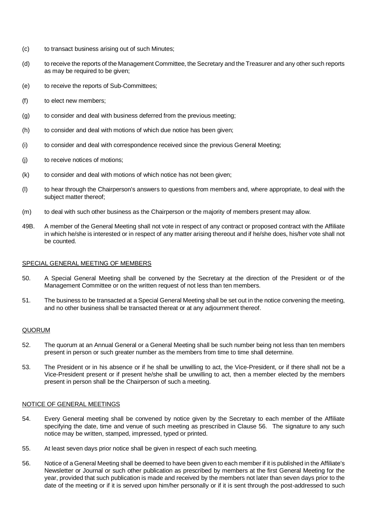- (c) to transact business arising out of such Minutes;
- (d) to receive the reports of the Management Committee, the Secretary and the Treasurer and any other such reports as may be required to be given;
- (e) to receive the reports of Sub-Committees;
- (f) to elect new members;
- (g) to consider and deal with business deferred from the previous meeting;
- (h) to consider and deal with motions of which due notice has been given;
- (i) to consider and deal with correspondence received since the previous General Meeting;
- (j) to receive notices of motions;
- (k) to consider and deal with motions of which notice has not been given;
- (l) to hear through the Chairperson's answers to questions from members and, where appropriate, to deal with the subject matter thereof;
- (m) to deal with such other business as the Chairperson or the majority of members present may allow.
- 49B. A member of the General Meeting shall not vote in respect of any contract or proposed contract with the Affiliate in which he/she is interested or in respect of any matter arising thereout and if he/she does, his/her vote shall not be counted.

#### SPECIAL GENERAL MEETING OF MEMBERS

- 50. A Special General Meeting shall be convened by the Secretary at the direction of the President or of the Management Committee or on the written request of not less than ten members.
- 51. The business to be transacted at a Special General Meeting shall be set out in the notice convening the meeting, and no other business shall be transacted thereat or at any adjournment thereof.

#### QUORUM

- 52. The quorum at an Annual General or a General Meeting shall be such number being not less than ten members present in person or such greater number as the members from time to time shall determine.
- 53. The President or in his absence or if he shall be unwilling to act, the Vice-President, or if there shall not be a Vice-President present or if present he/she shall be unwilling to act, then a member elected by the members present in person shall be the Chairperson of such a meeting.

## NOTICE OF GENERAL MEETINGS

- 54. Every General meeting shall be convened by notice given by the Secretary to each member of the Affiliate specifying the date, time and venue of such meeting as prescribed in Clause 56. The signature to any such notice may be written, stamped, impressed, typed or printed.
- 55. At least seven days prior notice shall be given in respect of each such meeting.
- 56. Notice of a General Meeting shall be deemed to have been given to each member if it is published in the Affiliate's Newsletter or Journal or such other publication as prescribed by members at the first General Meeting for the year, provided that such publication is made and received by the members not later than seven days prior to the date of the meeting or if it is served upon him/her personally or if it is sent through the post-addressed to such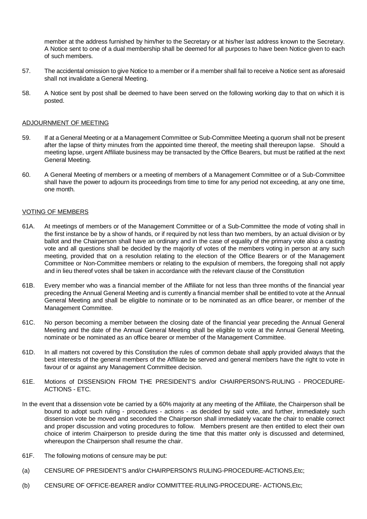member at the address furnished by him/her to the Secretary or at his/her last address known to the Secretary. A Notice sent to one of a dual membership shall be deemed for all purposes to have been Notice given to each of such members.

- 57. The accidental omission to give Notice to a member or if a member shall fail to receive a Notice sent as aforesaid shall not invalidate a General Meeting.
- 58. A Notice sent by post shall be deemed to have been served on the following working day to that on which it is posted.

## ADJOURNMENT OF MEETING

- 59. If at a General Meeting or at a Management Committee or Sub-Committee Meeting a quorum shall not be present after the lapse of thirty minutes from the appointed time thereof, the meeting shall thereupon lapse. Should a meeting lapse, urgent Affiliate business may be transacted by the Office Bearers, but must be ratified at the next General Meeting.
- 60. A General Meeting of members or a meeting of members of a Management Committee or of a Sub-Committee shall have the power to adjourn its proceedings from time to time for any period not exceeding, at any one time, one month.

## VOTING OF MEMBERS

- 61A. At meetings of members or of the Management Committee or of a Sub-Committee the mode of voting shall in the first instance be by a show of hands, or if required by not less than two members, by an actual division or by ballot and the Chairperson shall have an ordinary and in the case of equality of the primary vote also a casting vote and all questions shall be decided by the majority of votes of the members voting in person at any such meeting, provided that on a resolution relating to the election of the Office Bearers or of the Management Committee or Non-Committee members or relating to the expulsion of members, the foregoing shall not apply and in lieu thereof votes shall be taken in accordance with the relevant clause of the Constitution
- 61B. Every member who was a financial member of the Affiliate for not less than three months of the financial year preceding the Annual General Meeting and is currently a financial member shall be entitled to vote at the Annual General Meeting and shall be eligible to nominate or to be nominated as an office bearer, or member of the Management Committee.
- 61C. No person becoming a member between the closing date of the financial year preceding the Annual General Meeting and the date of the Annual General Meeting shall be eligible to vote at the Annual General Meeting, nominate or be nominated as an office bearer or member of the Management Committee.
- 61D. In all matters not covered by this Constitution the rules of common debate shall apply provided always that the best interests of the general members of the Affiliate be served and general members have the right to vote in favour of or against any Management Committee decision.
- 61E. Motions of DISSENSION FROM THE PRESIDENT'S and/or CHAIRPERSON'S-RULING PROCEDURE-ACTIONS - ETC.
- In the event that a dissension vote be carried by a 60% majority at any meeting of the Affiliate, the Chairperson shall be bound to adopt such ruling - procedures - actions - as decided by said vote, and further, immediately such dissension vote be moved and seconded the Chairperson shall immediately vacate the chair to enable correct and proper discussion and voting procedures to follow. Members present are then entitled to elect their own choice of interim Chairperson to preside during the time that this matter only is discussed and determined, whereupon the Chairperson shall resume the chair.
- 61F. The following motions of censure may be put:
- (a) CENSURE OF PRESIDENT'S and/or CHAIRPERSON'S RULING-PROCEDURE-ACTIONS,Etc;
- (b) CENSURE OF OFFICE-BEARER and/or COMMITTEE-RULING-PROCEDURE- ACTIONS,Etc;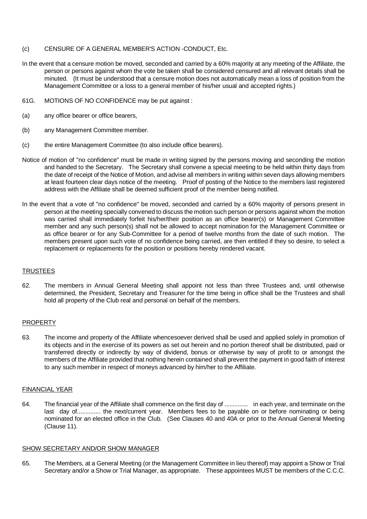# (c) CENSURE OF A GENERAL MEMBER'S ACTION -CONDUCT, Etc.

- In the event that a censure motion be moved, seconded and carried by a 60% majority at any meeting of the Affiliate, the person or persons against whom the vote be taken shall be considered censured and all relevant details shall be minuted. (It must be understood that a censure motion does not automatically mean a loss of position from the Management Committee or a loss to a general member of his/her usual and accepted rights.)
- 61G. MOTIONS OF NO CONFIDENCE may be put against :
- (a) any office bearer or office bearers,
- (b) any Management Committee member.
- (c) the entire Management Committee (to also include office bearers).
- Notice of motion of "no confidence" must be made in writing signed by the persons moving and seconding the motion and handed to the Secretary. The Secretary shall convene a special meeting to be held within thirty days from the date of receipt of the Notice of Motion, and advise all members in writing within seven days allowing members at least fourteen clear days notice of the meeting. Proof of posting of the Notice to the members last registered address with the Affiliate shall be deemed sufficient proof of the member being notified.
- In the event that a vote of "no confidence" be moved, seconded and carried by a 60% majority of persons present in person at the meeting specially convened to discuss the motion such person or persons against whom the motion was carried shall immediately forfeit his/her/their position as an office bearer(s) or Management Committee member and any such person(s) shall not be allowed to accept nomination for the Management Committee or as office bearer or for any Sub-Committee for a period of twelve months from the date of such motion. The members present upon such vote of no confidence being carried, are then entitled if they so desire, to select a replacement or replacements for the position or positions hereby rendered vacant.

# **TRUSTEES**

62. The members in Annual General Meeting shall appoint not less than three Trustees and, until otherwise determined, the President, Secretary and Treasurer for the time being in office shall be the Trustees and shall hold all property of the Club real and personal on behalf of the members.

## PROPERTY

63. The income and property of the Affiliate whencesoever derived shall be used and applied solely in promotion of its objects and in the exercise of its powers as set out herein and no portion thereof shall be distributed, paid or transferred directly or indirectly by way of dividend, bonus or otherwise by way of profit to or amongst the members of the Affiliate provided that nothing herein contained shall prevent the payment in good faith of interest to any such member in respect of moneys advanced by him/her to the Affiliate.

#### FINANCIAL YEAR

64. The financial year of the Affiliate shall commence on the first day of .............. in each year, and terminate on the last day of.............. the next/current year. Members fees to be payable on or before nominating or being nominated for an elected office in the Club. (See Clauses 40 and 40A or prior to the Annual General Meeting (Clause 11).

#### SHOW SECRETARY AND/OR SHOW MANAGER

65. The Members, at a General Meeting (or the Management Committee in lieu thereof) may appoint a Show or Trial Secretary and/or a Show or Trial Manager, as appropriate. These appointees MUST be members of the C.C.C.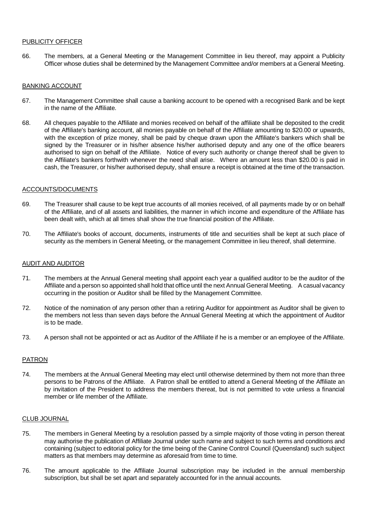# PUBLICITY OFFICER

66. The members, at a General Meeting or the Management Committee in lieu thereof, may appoint a Publicity Officer whose duties shall be determined by the Management Committee and/or members at a General Meeting.

# BANKING ACCOUNT

- 67. The Management Committee shall cause a banking account to be opened with a recognised Bank and be kept in the name of the Affiliate.
- 68. All cheques payable to the Affiliate and monies received on behalf of the affiliate shall be deposited to the credit of the Affiliate's banking account, all monies payable on behalf of the Affiliate amounting to \$20.00 or upwards, with the exception of prize money, shall be paid by cheque drawn upon the Affiliate's bankers which shall be signed by the Treasurer or in his/her absence his/her authorised deputy and any one of the office bearers authorised to sign on behalf of the Affiliate. Notice of every such authority or change thereof shall be given to the Affiliate's bankers forthwith whenever the need shall arise. Where an amount less than \$20.00 is paid in cash, the Treasurer, or his/her authorised deputy, shall ensure a receipt is obtained at the time of the transaction.

#### ACCOUNTS/DOCUMENTS

- 69. The Treasurer shall cause to be kept true accounts of all monies received, of all payments made by or on behalf of the Affiliate, and of all assets and liabilities, the manner in which income and expenditure of the Affiliate has been dealt with, which at all times shall show the true financial position of the Affiliate.
- 70. The Affiliate's books of account, documents, instruments of title and securities shall be kept at such place of security as the members in General Meeting, or the management Committee in lieu thereof, shall determine.

#### AUDIT AND AUDITOR

- 71. The members at the Annual General meeting shall appoint each year a qualified auditor to be the auditor of the Affiliate and a person so appointed shall hold that office until the next Annual General Meeting. A casual vacancy occurring in the position or Auditor shall be filled by the Management Committee.
- 72. Notice of the nomination of any person other than a retiring Auditor for appointment as Auditor shall be given to the members not less than seven days before the Annual General Meeting at which the appointment of Auditor is to be made.
- 73. A person shall not be appointed or act as Auditor of the Affiliate if he is a member or an employee of the Affiliate.

#### PATRON

74. The members at the Annual General Meeting may elect until otherwise determined by them not more than three persons to be Patrons of the Affiliate. A Patron shall be entitled to attend a General Meeting of the Affiliate an by invitation of the President to address the members thereat, but is not permitted to vote unless a financial member or life member of the Affiliate.

#### CLUB JOURNAL

- 75. The members in General Meeting by a resolution passed by a simple majority of those voting in person thereat may authorise the publication of Affiliate Journal under such name and subject to such terms and conditions and containing (subject to editorial policy for the time being of the Canine Control Council (Queensland) such subject matters as that members may determine as aforesaid from time to time.
- 76. The amount applicable to the Affiliate Journal subscription may be included in the annual membership subscription, but shall be set apart and separately accounted for in the annual accounts.